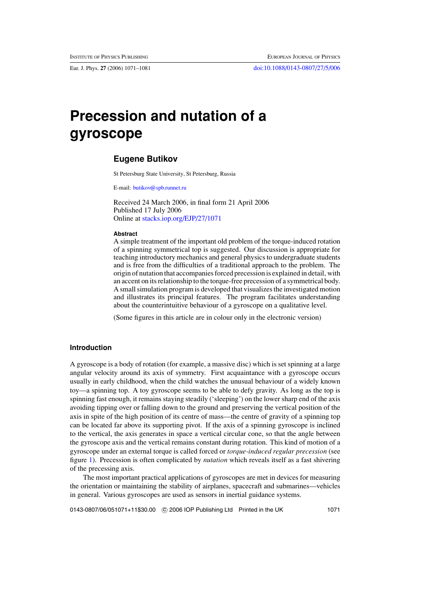Eur. J. Phys. **27** (2006) 1071–1081 [doi:10.1088/0143-0807/27/5/006](http://dx.doi.org/10.1088/0143-0807/27/5/006)

# **Precession and nutation of a gyroscope**

## **Eugene Butikov**

St Petersburg State University, St Petersburg, Russia

E-mail: [butikov@spb.runnet.ru](mailto:butikov@spb.runnet.ru)

Received 24 March 2006, in final form 21 April 2006 Published 17 July 2006 Online at [stacks.iop.org/EJP/27/1071](http://stacks.iop.org/EJP/27/1071)

#### **Abstract**

A simple treatment of the important old problem of the torque-induced rotation of a spinning symmetrical top is suggested. Our discussion is appropriate for teaching introductory mechanics and general physics to undergraduate students and is free from the difficulties of a traditional approach to the problem. The origin of nutation that accompanies forced precession is explained in detail, with an accent on its relationship to the torque-free precession of a symmetrical body. A small simulation program is developed that visualizes the investigated motion and illustrates its principal features. The program facilitates understanding about the counterintuitive behaviour of a gyroscope on a qualitative level.

(Some figures in this article are in colour only in the electronic version)

## **Introduction**

A gyroscope is a body of rotation (for example, a massive disc) which is set spinning at a large angular velocity around its axis of symmetry. First acquaintance with a gyroscope occurs usually in early childhood, when the child watches the unusual behaviour of a widely known toy—a spinning top. A toy gyroscope seems to be able to defy gravity. As long as the top is spinning fast enough, it remains staying steadily ('sleeping') on the lower sharp end of the axis avoiding tipping over or falling down to the ground and preserving the vertical position of the axis in spite of the high position of its centre of mass—the centre of gravity of a spinning top can be located far above its supporting pivot. If the axis of a spinning gyroscope is inclined to the vertical, the axis generates in space a vertical circular cone, so that the angle between the gyroscope axis and the vertical remains constant during rotation. This kind of motion of a gyroscope under an external torque is called forced or *torque-induced regular precession* (see figure [1\)](#page-1-0). Precession is often complicated by *nutation* which reveals itself as a fast shivering of the precessing axis.

The most important practical applications of gyroscopes are met in devices for measuring the orientation or maintaining the stability of airplanes, spacecraft and submarines—vehicles in general. Various gyroscopes are used as sensors in inertial guidance systems.

0143-0807/06/051071+11\$30.00 © 2006 IOP Publishing Ltd Printed in the UK 1071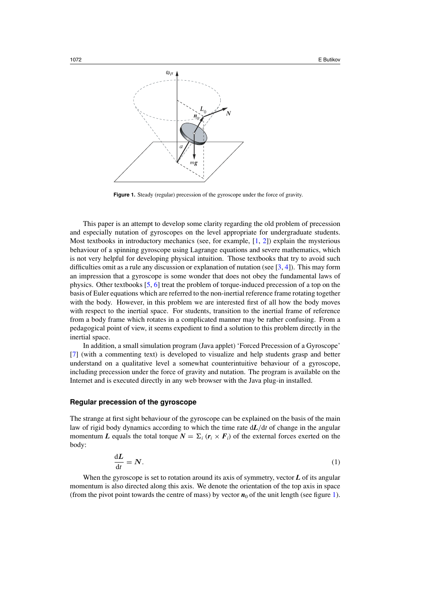<span id="page-1-0"></span>

Figure 1. Steady (regular) precession of the gyroscope under the force of gravity.

This paper is an attempt to develop some clarity regarding the old problem of precession and especially nutation of gyroscopes on the level appropriate for undergraduate students. Most textbooks in introductory mechanics (see, for example, [\[1](#page-10-0), [2](#page-10-0)]) explain the mysterious behaviour of a spinning gyroscope using Lagrange equations and severe mathematics, which is not very helpful for developing physical intuition. Those textbooks that try to avoid such difficulties omit as a rule any discussion or explanation of nutation (see  $[3, 4]$  $[3, 4]$  $[3, 4]$  $[3, 4]$ ). This may form an impression that a gyroscope is some wonder that does not obey the fundamental laws of physics. Other textbooks [\[5](#page-10-0), [6\]](#page-10-0) treat the problem of torque-induced precession of a top on the basis of Euler equations which are referred to the non-inertial reference frame rotating together with the body. However, in this problem we are interested first of all how the body moves with respect to the inertial space. For students, transition to the inertial frame of reference from a body frame which rotates in a complicated manner may be rather confusing. From a pedagogical point of view, it seems expedient to find a solution to this problem directly in the inertial space.

In addition, a small simulation program (Java applet) 'Forced Precession of a Gyroscope' [\[7](#page-10-0)] (with a commenting text) is developed to visualize and help students grasp and better understand on a qualitative level a somewhat counterintuitive behaviour of a gyroscope, including precession under the force of gravity and nutation. The program is available on the Internet and is executed directly in any web browser with the Java plug-in installed.

### **Regular precession of the gyroscope**

The strange at first sight behaviour of the gyroscope can be explained on the basis of the main law of rigid body dynamics according to which the time rate d*L/*d*t* of change in the angular momentum *L* equals the total torque  $N = \sum_i (r_i \times F_i)$  of the external forces exerted on the body:

$$
\frac{\mathrm{d}L}{\mathrm{d}t} = N.\tag{1}
$$

When the gyroscope is set to rotation around its axis of symmetry, vector *L* of its angular momentum is also directed along this axis. We denote the orientation of the top axis in space (from the pivot point towards the centre of mass) by vector  $n_0$  of the unit length (see figure 1).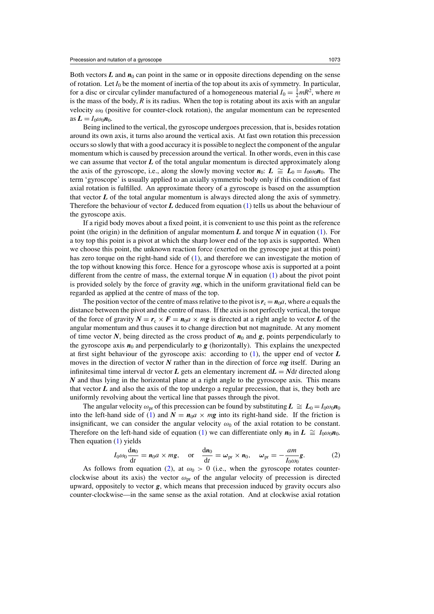<span id="page-2-0"></span>Both vectors  $L$  and  $n_0$  can point in the same or in opposite directions depending on the sense of rotation. Let  $I_0$  be the moment of inertia of the top about its axis of symmetry. In particular, for a disc or circular cylinder manufactured of a homogeneous material  $I_0 = \frac{1}{2}mR^2$ , where m is the mass of the body,  $R$  is its radius. When the top is rotating about its axis with an angular velocity  $\omega_0$  (positive for counter-clock rotation), the angular momentum can be represented  $aS L = I_0 \omega_0 n_0$ .

Being inclined to the vertical, the gyroscope undergoes precession, that is, besides rotation around its own axis, it turns also around the vertical axis. At fast own rotation this precession occurs so slowly that with a good accuracy it is possible to neglect the component of the angular momentum which is caused by precession around the vertical. In other words, even in this case we can assume that vector *L* of the total angular momentum is directed approximately along the axis of the gyroscope, i.e., along the slowly moving vector  $n_0$ :  $L \cong L_0 = I_0 \omega_0 n_0$ . The term 'gyroscope' is usually applied to an axially symmetric body only if this condition of fast axial rotation is fulfilled. An approximate theory of a gyroscope is based on the assumption that vector *L* of the total angular momentum is always directed along the axis of symmetry. Therefore the behaviour of vector *L* deduced from equation [\(1\)](#page-1-0) tells us about the behaviour of the gyroscope axis.

If a rigid body moves about a fixed point, it is convenient to use this point as the reference point (the origin) in the definition of angular momentum *L* and torque *N* in equation [\(1\)](#page-1-0). For a toy top this point is a pivot at which the sharp lower end of the top axis is supported. When we choose this point, the unknown reaction force (exerted on the gyroscope just at this point) has zero torque on the right-hand side of  $(1)$ , and therefore we can investigate the motion of the top without knowing this force. Hence for a gyroscope whose axis is supported at a point different from the centre of mass, the external torque  $N$  in equation [\(1\)](#page-1-0) about the pivot point is provided solely by the force of gravity *mg*, which in the uniform gravitational field can be regarded as applied at the centre of mass of the top.

The position vector of the centre of mass relative to the pivot is  $\mathbf{r}_c = \mathbf{n}_0 a$ , where *a* equals the distance between the pivot and the centre of mass. If the axis is not perfectly vertical, the torque of the force of gravity  $N = r_c \times F = n_0 a \times mg$  is directed at a right angle to vector *L* of the angular momentum and thus causes it to change direction but not magnitude. At any moment of time vector *N*, being directed as the cross product of  $n_0$  and  $g$ , points perpendicularly to the gyroscope axis  $n_0$  and perpendicularly to  $g$  (horizontally). This explains the unexpected at first sight behaviour of the gyroscope axis: according to [\(1\)](#page-1-0), the upper end of vector *L* moves in the direction of vector *N* rather than in the direction of force *mg* itself. During an infinitesimal time interval dt vector  $L$  gets an elementary increment  $dL = Ndt$  directed along *N* and thus lying in the horizontal plane at a right angle to the gyroscope axis. This means that vector  $L$  and also the axis of the top undergo a regular precession, that is, they both are uniformly revolving about the vertical line that passes through the pivot.

The angular velocity  $\omega_{\text{pr}}$  of this precession can be found by substituting  $L \cong L_0 = I_0 \omega_0 n_0$ into the left-hand side of [\(1\)](#page-1-0) and  $N = n<sub>0</sub>a \times mg$  into its right-hand side. If the friction is insignificant, we can consider the angular velocity  $\omega_0$  of the axial rotation to be constant. Therefore on the left-hand side of equation [\(1\)](#page-1-0) we can differentiate only  $n_0$  in  $L \cong I_0 \omega_0 n_0$ . Then equation [\(1\)](#page-1-0) yields

$$
I_0 \omega_0 \frac{dn_0}{dt} = n_0 a \times mg, \quad \text{or} \quad \frac{dn_0}{dt} = \omega_{\text{pr}} \times n_0, \quad \omega_{\text{pr}} = -\frac{am}{I_0 \omega_0} g. \tag{2}
$$

As follows from equation (2), at  $\omega_0 > 0$  (i.e., when the gyroscope rotates counterclockwise about its axis) the vector  $\omega_{\text{pr}}$  of the angular velocity of precession is directed upward, oppositely to vector *g*, which means that precession induced by gravity occurs also counter-clockwise—in the same sense as the axial rotation. And at clockwise axial rotation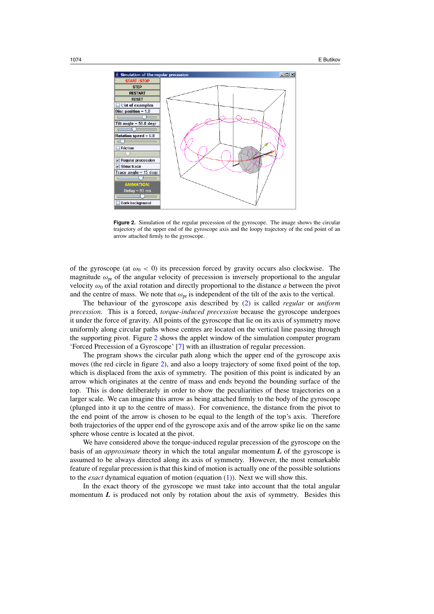<span id="page-3-0"></span>

**Figure 2.** Simulation of the regular precession of the gyroscope. The image shows the circular trajectory of the upper end of the gyroscope axis and the loopy trajectory of the end point of an arrow attached firmly to the gyroscope.

of the gyroscope (at  $\omega_0 < 0$ ) its precession forced by gravity occurs also clockwise. The magnitude *ω*pr of the angular velocity of precession is inversely proportional to the angular velocity  $\omega_0$  of the axial rotation and directly proportional to the distance *a* between the pivot and the centre of mass. We note that  $\omega_{\text{pr}}$  is independent of the tilt of the axis to the vertical.

The behaviour of the gyroscope axis described by [\(2\)](#page-2-0) is called *regular* or *uniform precession*. This is a forced, *torque-induced precession* because the gyroscope undergoes it under the force of gravity. All points of the gyroscope that lie on its axis of symmetry move uniformly along circular paths whose centres are located on the vertical line passing through the supporting pivot. Figure 2 shows the applet window of the simulation computer program 'Forced Precession of a Gyroscope' [\[7](#page-10-0)] with an illustration of regular precession.

The program shows the circular path along which the upper end of the gyroscope axis moves (the red circle in figure 2), and also a loopy trajectory of some fixed point of the top, which is displaced from the axis of symmetry. The position of this point is indicated by an arrow which originates at the centre of mass and ends beyond the bounding surface of the top. This is done deliberately in order to show the peculiarities of these trajectories on a larger scale. We can imagine this arrow as being attached firmly to the body of the gyroscope (plunged into it up to the centre of mass). For convenience, the distance from the pivot to the end point of the arrow is chosen to be equal to the length of the top's axis. Therefore both trajectories of the upper end of the gyroscope axis and of the arrow spike lie on the same sphere whose centre is located at the pivot.

We have considered above the torque-induced regular precession of the gyroscope on the basis of an *approximate* theory in which the total angular momentum *L* of the gyroscope is assumed to be always directed along its axis of symmetry. However, the most remarkable feature of regular precession is that this kind of motion is actually one of the possible solutions to the *exact* dynamical equation of motion (equation [\(1\)](#page-1-0)). Next we will show this.

In the exact theory of the gyroscope we must take into account that the total angular momentum *L* is produced not only by rotation about the axis of symmetry. Besides this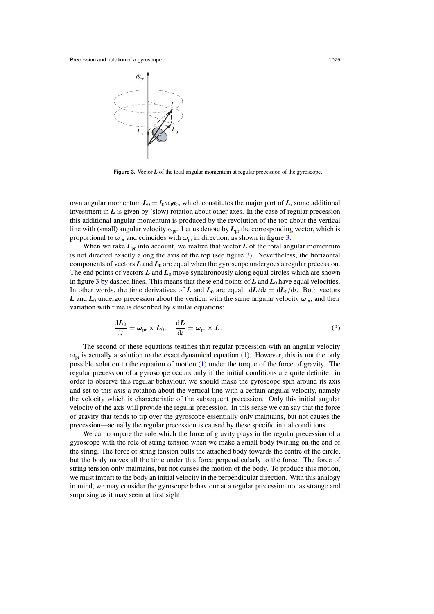<span id="page-4-0"></span>

Figure 3. Vector *L* of the total angular momentum at regular precession of the gyroscope.

own angular momentum  $L_0 = I_0 \omega_0 n_0$ , which constitutes the major part of *L*, some additional investment in  $L$  is given by (slow) rotation about other axes. In the case of regular precession this additional angular momentum is produced by the revolution of the top about the vertical line with (small) angular velocity  $\omega_{\text{pr}}$ . Let us denote by  $L_{\text{pr}}$  the corresponding vector, which is proportional to  $\omega_{\text{pr}}$  and coincides with  $\omega_{\text{pr}}$  in direction, as shown in figure 3.

When we take  $L_{\text{pr}}$  into account, we realize that vector  $L$  of the total angular momentum is not directed exactly along the axis of the top (see figure 3). Nevertheless, the horizontal components of vectors  $L$  and  $L_0$  are equal when the gyroscope undergoes a regular precession. The end points of vectors  $L$  and  $L_0$  move synchronously along equal circles which are shown in figure 3 by dashed lines. This means that these end points of  $L$  and  $L_0$  have equal velocities. In other words, the time derivatives of *L* and  $L_0$  are equal:  $dL/dt = dL_0/dt$ . Both vectors *L* and  $L_0$  undergo precession about the vertical with the same angular velocity  $\omega_{\text{pr}}$ , and their variation with time is described by similar equations:

$$
\frac{dL_0}{dt} = \omega_{\text{pr}} \times L_0, \quad \frac{dL}{dt} = \omega_{\text{pr}} \times L. \tag{3}
$$

The second of these equations testifies that regular precession with an angular velocity  $\omega_{\rm pr}$  is actually a solution to the exact dynamical equation [\(1\)](#page-1-0). However, this is not the only possible solution to the equation of motion [\(1\)](#page-1-0) under the torque of the force of gravity. The regular precession of a gyroscope occurs only if the initial conditions are quite definite: in order to observe this regular behaviour, we should make the gyroscope spin around its axis and set to this axis a rotation about the vertical line with a certain angular velocity, namely the velocity which is characteristic of the subsequent precession. Only this initial angular velocity of the axis will provide the regular precession. In this sense we can say that the force of gravity that tends to tip over the gyroscope essentially only maintains, but not causes the precession—actually the regular precession is caused by these specific initial conditions.

We can compare the role which the force of gravity plays in the regular precession of a gyroscope with the role of string tension when we make a small body twirling on the end of the string. The force of string tension pulls the attached body towards the centre of the circle, but the body moves all the time under this force perpendicularly to the force. The force of string tension only maintains, but not causes the motion of the body. To produce this motion, we must impart to the body an initial velocity in the perpendicular direction. With this analogy in mind, we may consider the gyroscope behaviour at a regular precession not as strange and surprising as it may seem at first sight.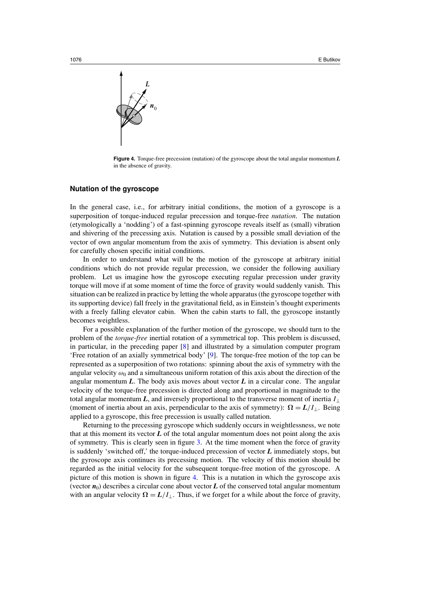

**Figure 4.** Torque-free precession (nutation) of the gyroscope about the total angular momentum *L* in the absence of gravity.

### **Nutation of the gyroscope**

In the general case, i.e., for arbitrary initial conditions, the motion of a gyroscope is a superposition of torque-induced regular precession and torque-free *nutation*. The nutation (etymologically a 'nodding') of a fast-spinning gyroscope reveals itself as (small) vibration and shivering of the precessing axis. Nutation is caused by a possible small deviation of the vector of own angular momentum from the axis of symmetry. This deviation is absent only for carefully chosen specific initial conditions.

In order to understand what will be the motion of the gyroscope at arbitrary initial conditions which do not provide regular precession, we consider the following auxiliary problem. Let us imagine how the gyroscope executing regular precession under gravity torque will move if at some moment of time the force of gravity would suddenly vanish. This situation can be realized in practice by letting the whole apparatus (the gyroscope together with its supporting device) fall freely in the gravitational field, as in Einstein's thought experiments with a freely falling elevator cabin. When the cabin starts to fall, the gyroscope instantly becomes weightless.

For a possible explanation of the further motion of the gyroscope, we should turn to the problem of the *torque-free* inertial rotation of a symmetrical top. This problem is discussed, in particular, in the preceding paper [\[8\]](#page-10-0) and illustrated by a simulation computer program 'Free rotation of an axially symmetrical body' [\[9\]](#page-10-0). The torque-free motion of the top can be represented as a superposition of two rotations: spinning about the axis of symmetry with the angular velocity  $\omega_0$  and a simultaneous uniform rotation of this axis about the direction of the angular momentum *L*. The body axis moves about vector *L* in a circular cone. The angular velocity of the torque-free precession is directed along and proportional in magnitude to the total angular momentum *L*, and inversely proportional to the transverse moment of inertia *I*<sup>⊥</sup> (moment of inertia about an axis, perpendicular to the axis of symmetry):  $\Omega = L/I_1$ . Being applied to a gyroscope, this free precession is usually called nutation.

Returning to the precessing gyroscope which suddenly occurs in weightlessness, we note that at this moment its vector  $L$  of the total angular momentum does not point along the axis of symmetry. This is clearly seen in figure [3.](#page-4-0) At the time moment when the force of gravity is suddenly 'switched off,' the torque-induced precession of vector *L* immediately stops, but the gyroscope axis continues its precessing motion. The velocity of this motion should be regarded as the initial velocity for the subsequent torque-free motion of the gyroscope. A picture of this motion is shown in figure 4. This is a nutation in which the gyroscope axis (vector  $n_0$ ) describes a circular cone about vector  $L$  of the conserved total angular momentum with an angular velocity  $\Omega = L/I_1$ . Thus, if we forget for a while about the force of gravity,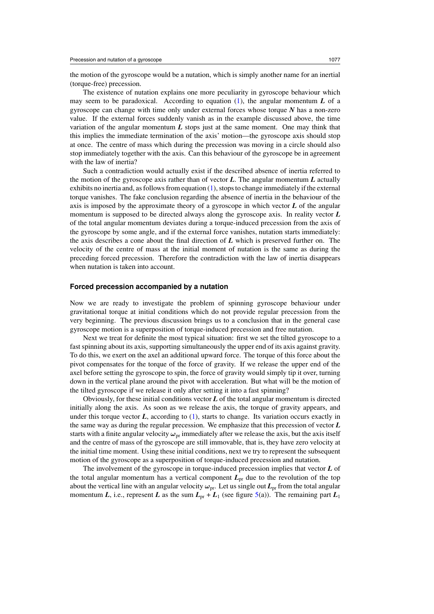the motion of the gyroscope would be a nutation, which is simply another name for an inertial (torque-free) precession.

The existence of nutation explains one more peculiarity in gyroscope behaviour which may seem to be paradoxical. According to equation  $(1)$ , the angular momentum  $\boldsymbol{L}$  of a gyroscope can change with time only under external forces whose torque *N* has a non-zero value. If the external forces suddenly vanish as in the example discussed above, the time variation of the angular momentum *L* stops just at the same moment. One may think that this implies the immediate termination of the axis' motion—the gyroscope axis should stop at once. The centre of mass which during the precession was moving in a circle should also stop immediately together with the axis. Can this behaviour of the gyroscope be in agreement with the law of inertia?

Such a contradiction would actually exist if the described absence of inertia referred to the motion of the gyroscope axis rather than of vector *L*. The angular momentum *L* actually exhibits no inertia and, as follows from equation [\(1\)](#page-1-0), stops to change immediately if the external torque vanishes. The fake conclusion regarding the absence of inertia in the behaviour of the axis is imposed by the approximate theory of a gyroscope in which vector *L* of the angular momentum is supposed to be directed always along the gyroscope axis. In reality vector *L* of the total angular momentum deviates during a torque-induced precession from the axis of the gyroscope by some angle, and if the external force vanishes, nutation starts immediately: the axis describes a cone about the final direction of *L* which is preserved further on. The velocity of the centre of mass at the initial moment of nutation is the same as during the preceding forced precession. Therefore the contradiction with the law of inertia disappears when nutation is taken into account.

#### **Forced precession accompanied by a nutation**

Now we are ready to investigate the problem of spinning gyroscope behaviour under gravitational torque at initial conditions which do not provide regular precession from the very beginning. The previous discussion brings us to a conclusion that in the general case gyroscope motion is a superposition of torque-induced precession and free nutation.

Next we treat for definite the most typical situation: first we set the tilted gyroscope to a fast spinning about its axis, supporting simultaneously the upper end of its axis against gravity. To do this, we exert on the axel an additional upward force. The torque of this force about the pivot compensates for the torque of the force of gravity. If we release the upper end of the axel before setting the gyroscope to spin, the force of gravity would simply tip it over, turning down in the vertical plane around the pivot with acceleration. But what will be the motion of the tilted gyroscope if we release it only after setting it into a fast spinning?

Obviously, for these initial conditions vector *L* of the total angular momentum is directed initially along the axis. As soon as we release the axis, the torque of gravity appears, and under this torque vector  $L$ , according to  $(1)$ , starts to change. Its variation occurs exactly in the same way as during the regular precession. We emphasize that this precession of vector *L* starts with a finite angular velocity  $\omega_{pr}$  immediately after we release the axis, but the axis itself and the centre of mass of the gyroscope are still immovable, that is, they have zero velocity at the initial time moment. Using these initial conditions, next we try to represent the subsequent motion of the gyroscope as a superposition of torque-induced precession and nutation.

The involvement of the gyroscope in torque-induced precession implies that vector *L* of the total angular momentum has a vertical component  $L_{\text{pr}}$  due to the revolution of the top about the vertical line with an angular velocity  $\omega_{pr}$ . Let us single out  $L_{pr}$  from the total angular momentum *L*, i.e., represent *L* as the sum  $L_{\text{pr}} + L_1$  (see figure [5\(](#page-7-0)a)). The remaining part  $L_1$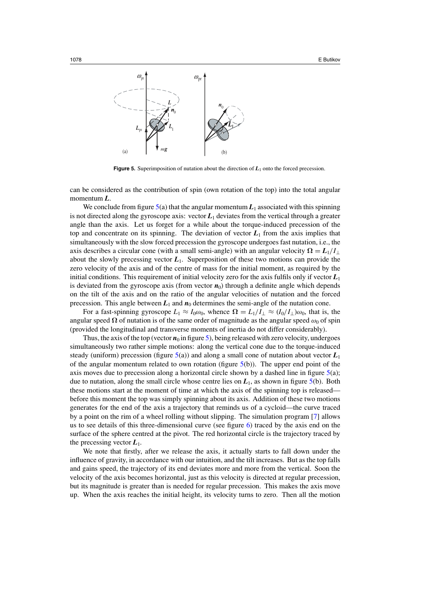<span id="page-7-0"></span>

**Figure 5.** Superimposition of nutation about the direction of  $L_1$  onto the forced precession.

can be considered as the contribution of spin (own rotation of the top) into the total angular momentum *L*.

We conclude from figure  $5(a)$  that the angular momentum  $L_1$  associated with this spinning is not directed along the gyroscope axis: vector  $L_1$  deviates from the vertical through a greater angle than the axis. Let us forget for a while about the torque-induced precession of the top and concentrate on its spinning. The deviation of vector  $L_1$  from the axis implies that simultaneously with the slow forced precession the gyroscope undergoes fast nutation, i.e., the axis describes a circular cone (with a small semi-angle) with an angular velocity  $\Omega = L_1/I_{\perp}$ about the slowly precessing vector *L*1. Superposition of these two motions can provide the zero velocity of the axis and of the centre of mass for the initial moment, as required by the initial conditions. This requirement of initial velocity zero for the axis fulfils only if vector  $L_1$ is deviated from the gyroscope axis (from vector  $n_0$ ) through a definite angle which depends on the tilt of the axis and on the ratio of the angular velocities of nutation and the forced precession. This angle between  $L_1$  and  $n_0$  determines the semi-angle of the nutation cone.

For a fast-spinning gyroscope  $L_1 \approx I_0 \omega_0$ , whence  $\Omega = L_1/I_1 \approx (I_0/I_1) \omega_0$ , that is, the angular speed  $\Omega$  of nutation is of the same order of magnitude as the angular speed  $\omega_0$  of spin (provided the longitudinal and transverse moments of inertia do not differ considerably).

Thus, the axis of the top (vector  $n_0$  in figure 5), being released with zero velocity, undergoes simultaneously two rather simple motions: along the vertical cone due to the torque-induced steady (uniform) precession (figure  $5(a)$ ) and along a small cone of nutation about vector  $L_1$ of the angular momentum related to own rotation (figure  $5(b)$ ). The upper end point of the axis moves due to precession along a horizontal circle shown by a dashed line in figure  $5(a)$ ; due to nutation, along the small circle whose centre lies on  $L_1$ , as shown in figure 5(b). Both these motions start at the moment of time at which the axis of the spinning top is released before this moment the top was simply spinning about its axis. Addition of these two motions generates for the end of the axis a trajectory that reminds us of a cycloid—the curve traced by a point on the rim of a wheel rolling without slipping. The simulation program [\[7\]](#page-10-0) allows us to see details of this three-dimensional curve (see figure [6\)](#page-8-0) traced by the axis end on the surface of the sphere centred at the pivot. The red horizontal circle is the trajectory traced by the precessing vector  $L_1$ .

We note that firstly, after we release the axis, it actually starts to fall down under the influence of gravity, in accordance with our intuition, and the tilt increases. But as the top falls and gains speed, the trajectory of its end deviates more and more from the vertical. Soon the velocity of the axis becomes horizontal, just as this velocity is directed at regular precession, but its magnitude is greater than is needed for regular precession. This makes the axis move up. When the axis reaches the initial height, its velocity turns to zero. Then all the motion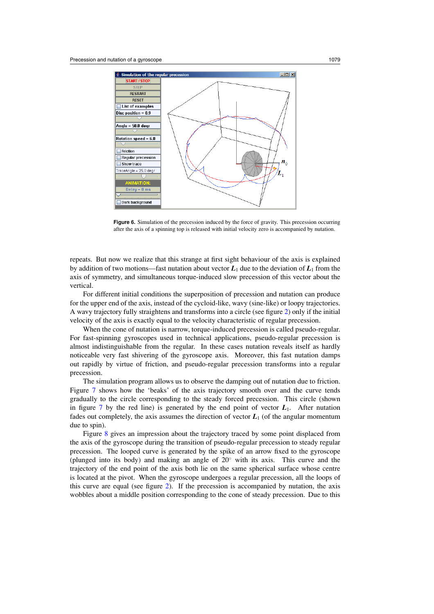<span id="page-8-0"></span>

**Figure 6.** Simulation of the precession induced by the force of gravity. This precession occurring after the axis of a spinning top is released with initial velocity zero is accompanied by nutation.

repeats. But now we realize that this strange at first sight behaviour of the axis is explained by addition of two motions—fast nutation about vector  $L_1$  due to the deviation of  $L_1$  from the axis of symmetry, and simultaneous torque-induced slow precession of this vector about the vertical.

For different initial conditions the superposition of precession and nutation can produce for the upper end of the axis, instead of the cycloid-like, wavy (sine-like) or loopy trajectories. A wavy trajectory fully straightens and transforms into a circle (see figure [2\)](#page-3-0) only if the initial velocity of the axis is exactly equal to the velocity characteristic of regular precession.

When the cone of nutation is narrow, torque-induced precession is called pseudo-regular. For fast-spinning gyroscopes used in technical applications, pseudo-regular precession is almost indistinguishable from the regular. In these cases nutation reveals itself as hardly noticeable very fast shivering of the gyroscope axis. Moreover, this fast nutation damps out rapidly by virtue of friction, and pseudo-regular precession transforms into a regular precession.

The simulation program allows us to observe the damping out of nutation due to friction. Figure [7](#page-9-0) shows how the 'beaks' of the axis trajectory smooth over and the curve tends gradually to the circle corresponding to the steady forced precession. This circle (shown in figure  $7$  by the red line) is generated by the end point of vector  $L_1$ . After nutation fades out completely, the axis assumes the direction of vector *L*<sup>1</sup> (of the angular momentum due to spin).

Figure [8](#page-9-0) gives an impression about the trajectory traced by some point displaced from the axis of the gyroscope during the transition of pseudo-regular precession to steady regular precession. The looped curve is generated by the spike of an arrow fixed to the gyroscope (plunged into its body) and making an angle of 20◦ with its axis. This curve and the trajectory of the end point of the axis both lie on the same spherical surface whose centre is located at the pivot. When the gyroscope undergoes a regular precession, all the loops of this curve are equal (see figure [2\)](#page-3-0). If the precession is accompanied by nutation, the axis wobbles about a middle position corresponding to the cone of steady precession. Due to this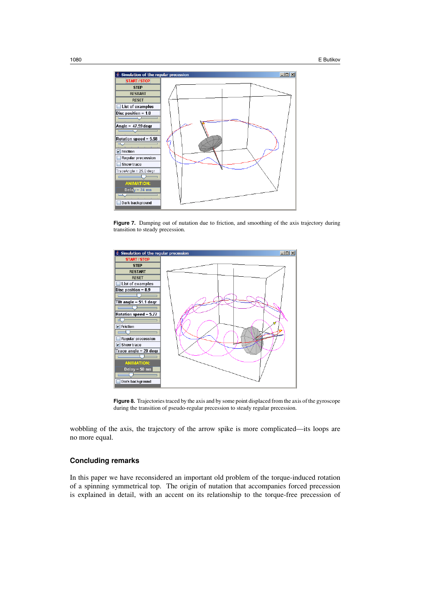<span id="page-9-0"></span>

Figure 7. Damping out of nutation due to friction, and smoothing of the axis trajectory during transition to steady precession.



**Figure 8.** Trajectories traced by the axis and by some point displaced from the axis of the gyroscope during the transition of pseudo-regular precession to steady regular precession.

wobbling of the axis, the trajectory of the arrow spike is more complicated—its loops are no more equal.

### **Concluding remarks**

In this paper we have reconsidered an important old problem of the torque-induced rotation of a spinning symmetrical top. The origin of nutation that accompanies forced precession is explained in detail, with an accent on its relationship to the torque-free precession of